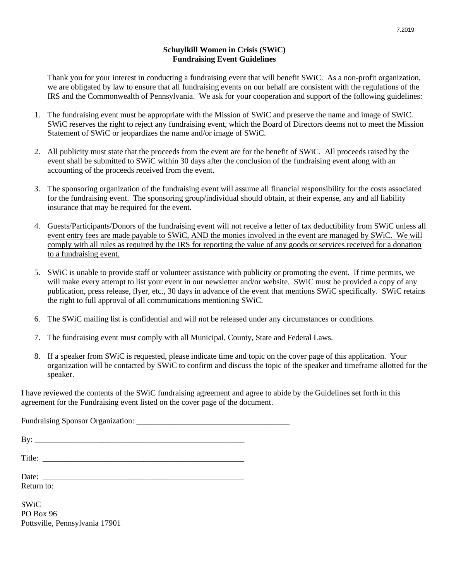# **Schuylkill Women in Crisis (SWiC) Fundraising Event Guidelines**

Thank you for your interest in conducting a fundraising event that will benefit SWiC. As a non-profit organization, we are obligated by law to ensure that all fundraising events on our behalf are consistent with the regulations of the IRS and the Commonwealth of Pennsylvania. We ask for your cooperation and support of the following guidelines:

- 1. The fundraising event must be appropriate with the Mission of SWiC and preserve the name and image of SWiC. SWiC reserves the right to reject any fundraising event, which the Board of Directors deems not to meet the Mission Statement of SWiC or jeopardizes the name and/or image of SWiC.
- 2. All publicity must state that the proceeds from the event are for the benefit of SWiC. All proceeds raised by the event shall be submitted to SWiC within 30 days after the conclusion of the fundraising event along with an accounting of the proceeds received from the event.
- 3. The sponsoring organization of the fundraising event will assume all financial responsibility for the costs associated for the fundraising event. The sponsoring group/individual should obtain, at their expense, any and all liability insurance that may be required for the event.
- 4. Guests/Participants/Donors of the fundraising event will not receive a letter of tax deductibility from SWiC unless all event entry fees are made payable to SWiC, AND the monies involved in the event are managed by SWiC. We will comply with all rules as required by the IRS for reporting the value of any goods or services received for a donation to a fundraising event.
- 5. SWiC is unable to provide staff or volunteer assistance with publicity or promoting the event. If time permits, we will make every attempt to list your event in our newsletter and/or website. SWiC must be provided a copy of any publication, press release, flyer, etc., 30 days in advance of the event that mentions SWiC specifically. SWiC retains the right to full approval of all communications mentioning SWiC.
- 6. The SWiC mailing list is confidential and will not be released under any circumstances or conditions.
- 7. The fundraising event must comply with all Municipal, County, State and Federal Laws.
- 8. If a speaker from SWiC is requested, please indicate time and topic on the cover page of this application. Your organization will be contacted by SWiC to confirm and discuss the topic of the speaker and timeframe allotted for the speaker.

I have reviewed the contents of the SWiC fundraising agreement and agree to abide by the Guidelines set forth in this agreement for the Fundraising event listed on the cover page of the document.

Fundraising Sponsor Organization:

By: \_\_\_\_\_\_\_\_\_\_\_\_\_\_\_\_\_\_\_\_\_\_\_\_\_\_\_\_\_\_\_\_\_\_\_\_\_\_\_\_\_\_\_\_\_\_\_\_\_\_\_\_

Title: \_\_\_\_\_\_\_\_\_\_\_\_\_\_\_\_\_\_\_\_\_\_\_\_\_\_\_\_\_\_\_\_\_\_\_\_\_\_\_\_\_\_\_\_\_\_\_\_\_\_ Date:

Return to:

SWiC PO Box 96 Pottsville, Pennsylvania 17901